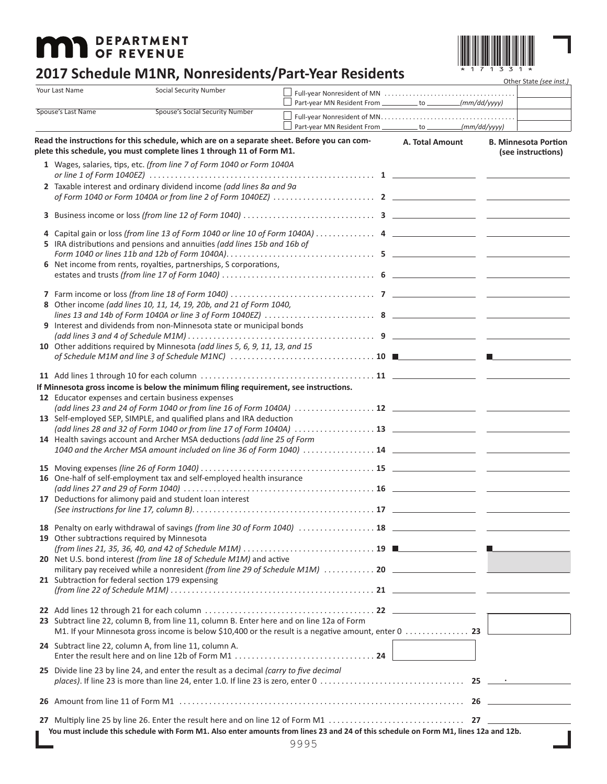# **MAD** DEPARTMENT



- 11

## **2017 Schedule M1NR, Nonresidents/Part-Year Residents**

|                                                                     | Your Last Name                                                              | Social Security Number                                                                                                                                               |  |                                                                   |                 |  | Other State (see inst.)                           |
|---------------------------------------------------------------------|-----------------------------------------------------------------------------|----------------------------------------------------------------------------------------------------------------------------------------------------------------------|--|-------------------------------------------------------------------|-----------------|--|---------------------------------------------------|
| Spouse's Last Name                                                  |                                                                             |                                                                                                                                                                      |  | Part-year MN Resident From ___________ to ___________(mm/dd/yyyy) |                 |  |                                                   |
|                                                                     |                                                                             | <b>Spouse's Social Security Number</b>                                                                                                                               |  | Part-year MN Resident From ___________ to ___________(mm/dd/yyyy) |                 |  |                                                   |
|                                                                     |                                                                             | Read the instructions for this schedule, which are on a separate sheet. Before you can com-<br>plete this schedule, you must complete lines 1 through 11 of Form M1. |  |                                                                   | A. Total Amount |  | <b>B. Minnesota Portion</b><br>(see instructions) |
|                                                                     |                                                                             | 1 Wages, salaries, tips, etc. (from line 7 of Form 1040 or Form 1040A                                                                                                |  |                                                                   |                 |  |                                                   |
|                                                                     | 2 Taxable interest and ordinary dividend income (add lines 8a and 9a        |                                                                                                                                                                      |  |                                                                   |                 |  |                                                   |
|                                                                     |                                                                             |                                                                                                                                                                      |  |                                                                   |                 |  |                                                   |
|                                                                     |                                                                             |                                                                                                                                                                      |  |                                                                   |                 |  |                                                   |
|                                                                     | 5 IRA distributions and pensions and annuities (add lines 15b and 16b of    |                                                                                                                                                                      |  |                                                                   |                 |  |                                                   |
|                                                                     |                                                                             |                                                                                                                                                                      |  |                                                                   |                 |  |                                                   |
|                                                                     |                                                                             | 6 Net income from rents, royalties, partnerships, S corporations,                                                                                                    |  |                                                                   |                 |  |                                                   |
|                                                                     |                                                                             |                                                                                                                                                                      |  |                                                                   |                 |  |                                                   |
|                                                                     |                                                                             |                                                                                                                                                                      |  |                                                                   |                 |  |                                                   |
|                                                                     | 8 Other income (add lines 10, 11, 14, 19, 20b, and 21 of Form 1040,         |                                                                                                                                                                      |  |                                                                   |                 |  |                                                   |
|                                                                     |                                                                             | 9 Interest and dividends from non-Minnesota state or municipal bonds                                                                                                 |  |                                                                   |                 |  |                                                   |
|                                                                     | 10 Other additions required by Minnesota (add lines 5, 6, 9, 11, 13, and 15 |                                                                                                                                                                      |  |                                                                   |                 |  |                                                   |
|                                                                     |                                                                             |                                                                                                                                                                      |  |                                                                   |                 |  |                                                   |
|                                                                     |                                                                             |                                                                                                                                                                      |  |                                                                   |                 |  |                                                   |
|                                                                     |                                                                             | If Minnesota gross income is below the minimum filing requirement, see instructions.                                                                                 |  |                                                                   |                 |  |                                                   |
|                                                                     | 12 Educator expenses and certain business expenses                          |                                                                                                                                                                      |  |                                                                   |                 |  |                                                   |
| 13 Self-employed SEP, SIMPLE, and qualified plans and IRA deduction |                                                                             |                                                                                                                                                                      |  |                                                                   |                 |  |                                                   |
|                                                                     | 14 Health savings account and Archer MSA deductions (add line 25 of Form    |                                                                                                                                                                      |  |                                                                   |                 |  |                                                   |
|                                                                     |                                                                             |                                                                                                                                                                      |  |                                                                   |                 |  |                                                   |
|                                                                     |                                                                             |                                                                                                                                                                      |  |                                                                   |                 |  |                                                   |
|                                                                     | 16 One-half of self-employment tax and self-employed health insurance       |                                                                                                                                                                      |  |                                                                   |                 |  |                                                   |
|                                                                     |                                                                             | 17 Deductions for alimony paid and student loan interest                                                                                                             |  |                                                                   |                 |  |                                                   |
|                                                                     |                                                                             |                                                                                                                                                                      |  |                                                                   |                 |  |                                                   |
|                                                                     |                                                                             |                                                                                                                                                                      |  |                                                                   |                 |  |                                                   |
|                                                                     |                                                                             | 19 Other subtractions required by Minnesota                                                                                                                          |  |                                                                   |                 |  |                                                   |
|                                                                     | 20 Net U.S. bond interest (from line 18 of Schedule M1M) and active         |                                                                                                                                                                      |  |                                                                   |                 |  |                                                   |
|                                                                     |                                                                             | 21 Subtraction for federal section 179 expensing                                                                                                                     |  |                                                                   |                 |  |                                                   |
|                                                                     |                                                                             |                                                                                                                                                                      |  |                                                                   |                 |  |                                                   |
|                                                                     |                                                                             |                                                                                                                                                                      |  |                                                                   |                 |  |                                                   |
|                                                                     |                                                                             | 23 Subtract line 22, column B, from line 11, column B. Enter here and on line 12a of Form                                                                            |  |                                                                   |                 |  |                                                   |
|                                                                     |                                                                             | 24 Subtract line 22, column A, from line 11, column A.                                                                                                               |  |                                                                   |                 |  |                                                   |
|                                                                     |                                                                             |                                                                                                                                                                      |  |                                                                   |                 |  |                                                   |
|                                                                     |                                                                             | 25 Divide line 23 by line 24, and enter the result as a decimal (carry to five decimal                                                                               |  |                                                                   |                 |  |                                                   |
|                                                                     |                                                                             |                                                                                                                                                                      |  |                                                                   |                 |  |                                                   |
|                                                                     |                                                                             |                                                                                                                                                                      |  |                                                                   |                 |  |                                                   |
|                                                                     |                                                                             | You must include this schedule with Form M1. Also enter amounts from lines 23 and 24 of this schedule on Form M1, lines 12a and 12b.                                 |  |                                                                   |                 |  |                                                   |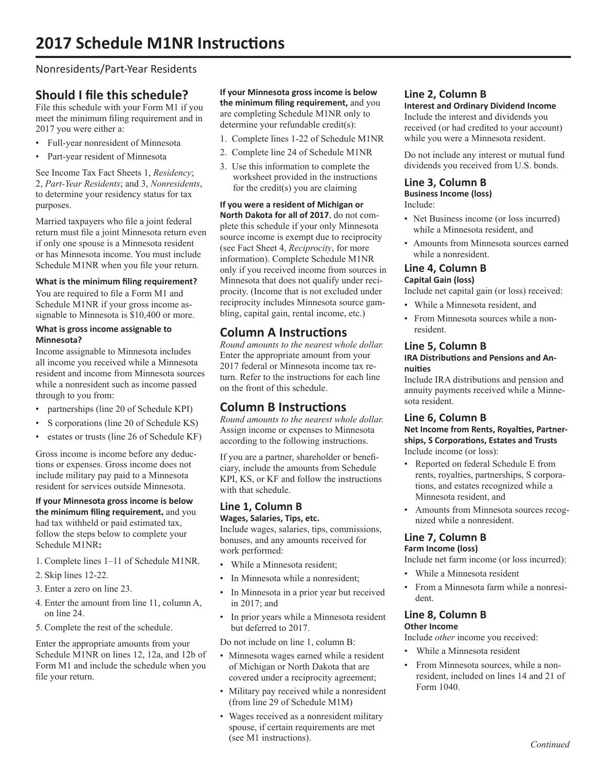#### Nonresidents/Part-Year Residents

### **Should I file this schedule?**

File this schedule with your Form M1 if you meet the minimum filing requirement and in 2017 you were either a:

- Full-year nonresident of Minnesota
- Part-year resident of Minnesota

See Income Tax Fact Sheets 1, *Residency*; 2, *Part-Year Residents*; and 3, *Nonresidents*, to determine your residency status for tax purposes.

Married taxpayers who file a joint federal return must file a joint Minnesota return even if only one spouse is a Minnesota resident or has Minnesota income. You must include Schedule M1NR when you file your return.

#### **What is the minimum filing requirement?**

You are required to file a Form M1 and Schedule M1NR if your gross income assignable to Minnesota is \$10,400 or more.

#### **What is gross income assignable to Minnesota?**

Income assignable to Minnesota includes all income you received while a Minnesota resident and income from Minnesota sources while a nonresident such as income passed through to you from:

- partnerships (line 20 of Schedule KPI)
- S corporations (line 20 of Schedule KS)
- estates or trusts (line 26 of Schedule KF)

Gross income is income before any deductions or expenses. Gross income does not include military pay paid to a Minnesota resident for services outside Minnesota.

**If your Minnesota gross income is below the minimum filing requirement,** and you had tax withheld or paid estimated tax, follow the steps below to complete your Schedule M1NR**:**

- 1. Complete lines 1–11 of Schedule M1NR.
- 2. Skip lines 12-22.
- 3. Enter a zero on line 23.
- 4. Enter the amount from line 11, column A, on line 24.
- 5. Complete the rest of the schedule.

Enter the appropriate amounts from your Schedule M1NR on lines 12, 12a, and 12b of Form M1 and include the schedule when you file your return.

**If your Minnesota gross income is below the minimum filing requirement,** and you are completing Schedule M1NR only to determine your refundable credit(s):

- 1. Complete lines 1-22 of Schedule M1NR
- 2. Complete line 24 of Schedule M1NR
- 3. Use this information to complete the worksheet provided in the instructions for the credit(s) you are claiming

**If you were a resident of Michigan or North Dakota for all of 2017**, do not complete this schedule if your only Minnesota source income is exempt due to reciprocity (see Fact Sheet 4, *Reciprocity*, for more information). Complete Schedule M1NR only if you received income from sources in Minnesota that does not qualify under reciprocity. (Income that is not excluded under reciprocity includes Minnesota source gambling, capital gain, rental income, etc.)

## **Column A Instructions**

*Round amounts to the nearest whole dollar.* Enter the appropriate amount from your 2017 federal or Minnesota income tax return. Refer to the instructions for each line on the front of this schedule.

#### **Column B Instructions**

*Round amounts to the nearest whole dollar.* Assign income or expenses to Minnesota according to the following instructions.

If you are a partner, shareholder or beneficiary, include the amounts from Schedule KPI, KS, or KF and follow the instructions with that schedule.

#### **Line 1, Column B Wages, Salaries, Tips, etc.**

Include wages, salaries, tips, commissions, bonuses, and any amounts received for work performed:

- While a Minnesota resident;
- In Minnesota while a nonresident;
- In Minnesota in a prior year but received in 2017; and
- In prior years while a Minnesota resident but deferred to 2017.

Do not include on line 1, column B:

- Minnesota wages earned while a resident of Michigan or North Dakota that are covered under a reciprocity agreement;
- Military pay received while a nonresident (from line 29 of Schedule M1M)
- Wages received as a nonresident military spouse, if certain requirements are met (see M1 instructions).

#### **Line 2, Column B**

**Interest and Ordinary Dividend Income** Include the interest and dividends you received (or had credited to your account) while you were a Minnesota resident.

Do not include any interest or mutual fund dividends you received from U.S. bonds.

#### **Line 3, Column B Business Income (loss)**

Include:

- Net Business income (or loss incurred) while a Minnesota resident, and
- Amounts from Minnesota sources earned while a nonresident.

#### **Line 4, Column B Capital Gain (loss)**

Include net capital gain (or loss) received:

- While a Minnesota resident, and
- From Minnesota sources while a nonresident.

#### **Line 5, Column B**

**IRA Distributions and Pensions and Annuities**

Include IRA distributions and pension and annuity payments received while a Minnesota resident.

#### **Line 6, Column B**

**Net Income from Rents, Royalties, Partnerships, S Corporations, Estates and Trusts** Include income (or loss):

- Reported on federal Schedule E from rents, royalties, partnerships, S corporations, and estates recognized while a Minnesota resident, and
- Amounts from Minnesota sources recognized while a nonresident.

#### **Line 7, Column B Farm Income (loss)**

Include net farm income (or loss incurred):

- While a Minnesota resident
- From a Minnesota farm while a nonresident.

## **Line 8, Column B**

#### **Other Income**

Include *other* income you received:

- While a Minnesota resident
- From Minnesota sources, while a nonresident, included on lines 14 and 21 of Form 1040.